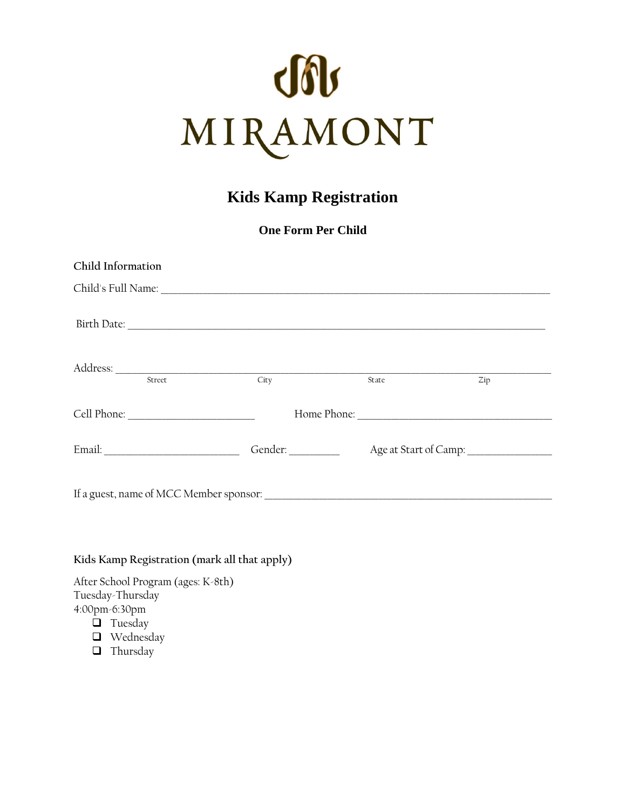

# **Kids Kamp Registration**

**One Form Per Child**

| Child's Full Name: Child's Full Name:<br>Birth Date: |       |
|------------------------------------------------------|-------|
|                                                      |       |
|                                                      |       |
|                                                      | Zip   |
|                                                      |       |
|                                                      |       |
|                                                      |       |
| City<br>Gender: _________                            | State |

# **Kids Kamp Registration (mark all that apply)**

After School Program (ages: K-8th) Tuesday-Thursday 4:00pm-6:30pm

- **Q** Tuesday
- Wednesday
- $\Box$  Thursday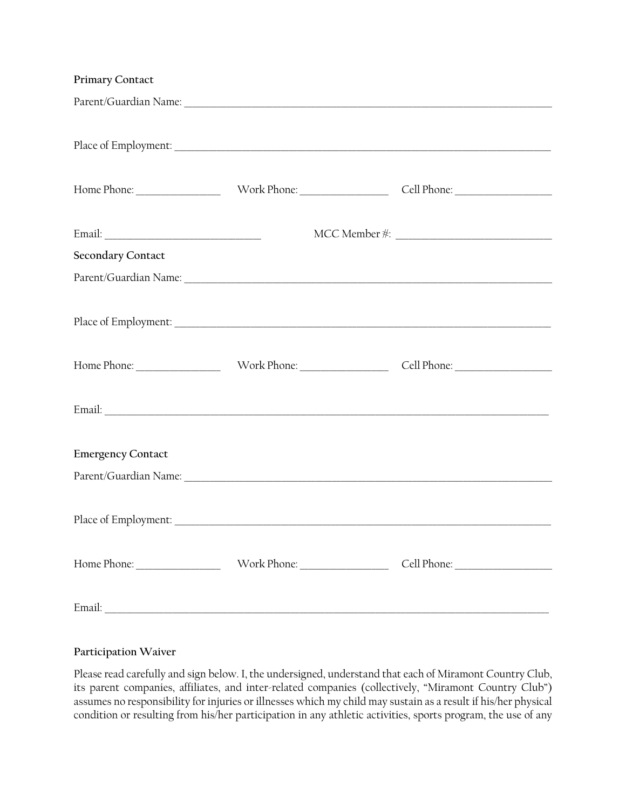#### **Participation Waiver**

Please read carefully and sign below. I, the undersigned, understand that each of Miramont Country Club, its parent companies, affiliates, and inter-related companies (collectively, "Miramont Country Club") assumes no responsibility for injuries or illnesses which my child may sustain as a result if his/her physical condition or resulting from his/her participation in any athletic activities, sports program, the use of any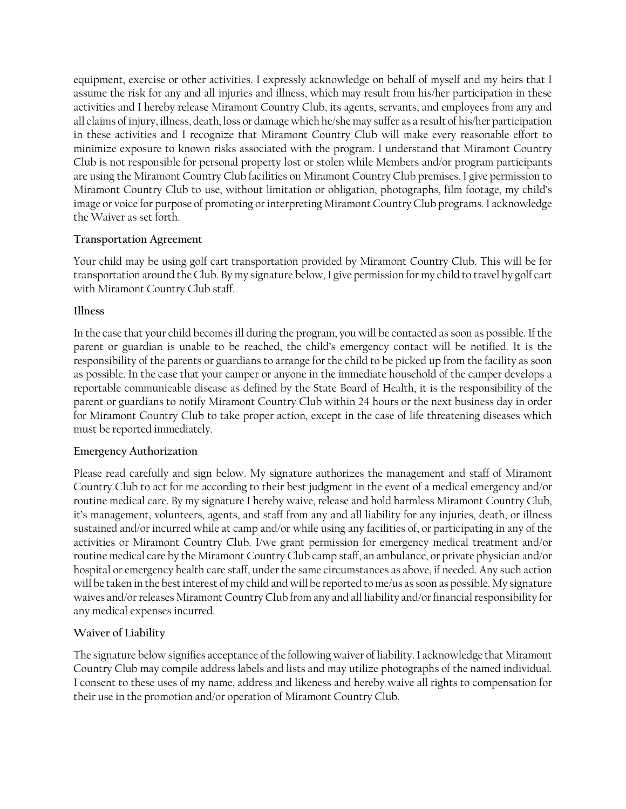equipment, exercise or other activities. I expressly acknowledge on behalf of myself and my heirs that I assume the risk for any and all injuries and illness, which may result from his/her participation in these activities and I hereby release Miramont Country Club, its agents, servants, and employees from any and all claims of injury, illness, death, loss or damage which he/she may suffer as a result of his/her participation in these activities and I recognize that Miramont Country Club will make every reasonable effort to minimize exposure to known risks associated with the program. I understand that Miramont Country Club is not responsible for personal property lost or stolen while Members and/or program participants are using the Miramont Country Club facilities on Miramont Country Club premises. I give permission to Miramont Country Club to use, without limitation or obligation, photographs, film footage, my child's image or voice for purpose of promoting or interpreting Miramont Country Club programs. I acknowledge the Waiver as set forth.

## **Transportation Agreement**

Your child may be using golf cart transportation provided by Miramont Country Club. This will be for transportation around the Club. By my signature below, I give permission for my child to travel by golf cart with Miramont Country Club staff.

## **Illness**

In the case that your child becomes ill during the program, you will be contacted as soon as possible. If the parent or guardian is unable to be reached, the child's emergency contact will be notified. It is the responsibility of the parents or guardians to arrange for the child to be picked up from the facility as soon as possible. In the case that your camper or anyone in the immediate household of the camper develops a reportable communicable disease as defined by the State Board of Health, it is the responsibility of the parent or guardians to notify Miramont Country Club within 24 hours or the next business day in order for Miramont Country Club to take proper action, except in the case of life threatening diseases which must be reported immediately.

#### **Emergency Authorization**

Please read carefully and sign below. My signature authorizes the management and staff of Miramont Country Club to act for me according to their best judgment in the event of a medical emergency and/or routine medical care. By my signature I hereby waive, release and hold harmless Miramont Country Club, it's management, volunteers, agents, and staff from any and all liability for any injuries, death, or illness sustained and/or incurred while at camp and/or while using any facilities of, or participating in any of the activities or Miramont Country Club. I/we grant permission for emergency medical treatment and/or routine medical care by the Miramont Country Club camp staff, an ambulance, or private physician and/or hospital or emergency health care staff, under the same circumstances as above, if needed. Any such action will be taken in the best interest of my child and will be reported to me/us as soon as possible. My signature waives and/or releases Miramont Country Club from any and all liability and/or financial responsibility for any medical expenses incurred.

# **Waiver of Liability**

The signature below signifies acceptance of the following waiver of liability. I acknowledge that Miramont Country Club may compile address labels and lists and may utilize photographs of the named individual. I consent to these uses of my name, address and likeness and hereby waive all rights to compensation for their use in the promotion and/or operation of Miramont Country Club.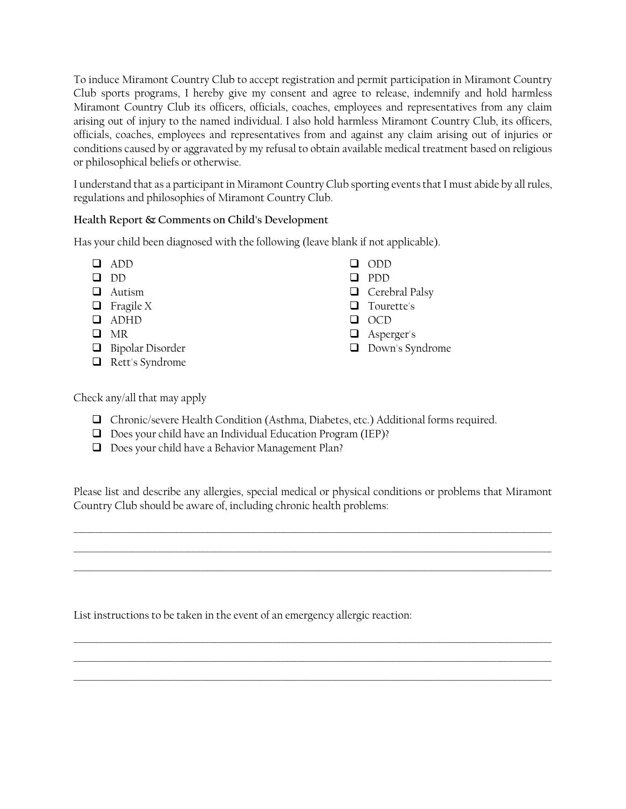To induce Miramont Country Club to accept registration and permit participation in Miramont Country Club sports programs, I hereby give my consent and agree to release, indemnify and hold harmless Miramont Country Club its officers, officials, coaches, employees and representatives from any claim arising out of injury to the named individual. I also hold harmless Miramont Country Club, its officers, officials, coaches, employees and representatives from and against any claim arising out of injuries or conditions caused by or aggravated by my refusal to obtain available medical treatment based on religious or philosophical beliefs or otherwise.

I understand that as a participant in Miramont Country Club sporting events that I must abide by all rules, regulations and philosophies of Miramont Country Club.

# **Health Report & Comments on Child's Development**

Has your child been diagnosed with the following (leave blank if not applicable).

 ADD  $\Box$  DD **Q** Autism  $\Box$  Fragile X ADHD  $\Box$  MR **Bipolar Disorder** Rett's Syndrome ODD  $\Box$  PDD  $\Box$  Cerebral Palsy  $\Box$  Tourette's Q OCD **Asperger's** Down's Syndrome

Check any/all that may apply

- Chronic/severe Health Condition (Asthma, Diabetes, etc.) Additional forms required.
- Does your child have an Individual Education Program (IEP)?
- D Does your child have a Behavior Management Plan?

Please list and describe any allergies, special medical or physical conditions or problems that Miramont Country Club should be aware of, including chronic health problems:

\_\_\_\_\_\_\_\_\_\_\_\_\_\_\_\_\_\_\_\_\_\_\_\_\_\_\_\_\_\_\_\_\_\_\_\_\_\_\_\_\_\_\_\_\_\_\_\_\_\_\_\_\_\_\_\_\_\_\_\_\_\_\_\_\_\_\_\_\_\_\_\_\_\_\_\_\_\_\_\_\_\_\_\_\_\_\_\_\_\_\_\_\_\_\_\_\_\_\_\_\_\_\_\_\_\_\_\_\_\_\_\_\_ \_\_\_\_\_\_\_\_\_\_\_\_\_\_\_\_\_\_\_\_\_\_\_\_\_\_\_\_\_\_\_\_\_\_\_\_\_\_\_\_\_\_\_\_\_\_\_\_\_\_\_\_\_\_\_\_\_\_\_\_\_\_\_\_\_\_\_\_\_\_\_\_\_\_\_\_\_\_\_\_\_\_\_\_\_\_\_\_\_\_\_\_\_\_\_\_\_\_\_\_\_\_\_\_\_\_\_\_\_\_\_\_\_ \_\_\_\_\_\_\_\_\_\_\_\_\_\_\_\_\_\_\_\_\_\_\_\_\_\_\_\_\_\_\_\_\_\_\_\_\_\_\_\_\_\_\_\_\_\_\_\_\_\_\_\_\_\_\_\_\_\_\_\_\_\_\_\_\_\_\_\_\_\_\_\_\_\_\_\_\_\_\_\_\_\_\_\_\_\_\_\_\_\_\_\_\_\_\_\_\_\_\_\_\_\_\_\_\_\_\_\_\_\_\_\_\_

\_\_\_\_\_\_\_\_\_\_\_\_\_\_\_\_\_\_\_\_\_\_\_\_\_\_\_\_\_\_\_\_\_\_\_\_\_\_\_\_\_\_\_\_\_\_\_\_\_\_\_\_\_\_\_\_\_\_\_\_\_\_\_\_\_\_\_\_\_\_\_\_\_\_\_\_\_\_\_\_\_\_\_\_\_\_\_\_\_\_\_\_\_\_\_\_\_\_\_\_\_\_\_\_\_\_\_\_\_\_\_\_\_ \_\_\_\_\_\_\_\_\_\_\_\_\_\_\_\_\_\_\_\_\_\_\_\_\_\_\_\_\_\_\_\_\_\_\_\_\_\_\_\_\_\_\_\_\_\_\_\_\_\_\_\_\_\_\_\_\_\_\_\_\_\_\_\_\_\_\_\_\_\_\_\_\_\_\_\_\_\_\_\_\_\_\_\_\_\_\_\_\_\_\_\_\_\_\_\_\_\_\_\_\_\_\_\_\_\_\_\_\_\_\_\_\_ \_\_\_\_\_\_\_\_\_\_\_\_\_\_\_\_\_\_\_\_\_\_\_\_\_\_\_\_\_\_\_\_\_\_\_\_\_\_\_\_\_\_\_\_\_\_\_\_\_\_\_\_\_\_\_\_\_\_\_\_\_\_\_\_\_\_\_\_\_\_\_\_\_\_\_\_\_\_\_\_\_\_\_\_\_\_\_\_\_\_\_\_\_\_\_\_\_\_\_\_\_\_\_\_\_\_\_\_\_\_\_\_\_

List instructions to be taken in the event of an emergency allergic reaction: